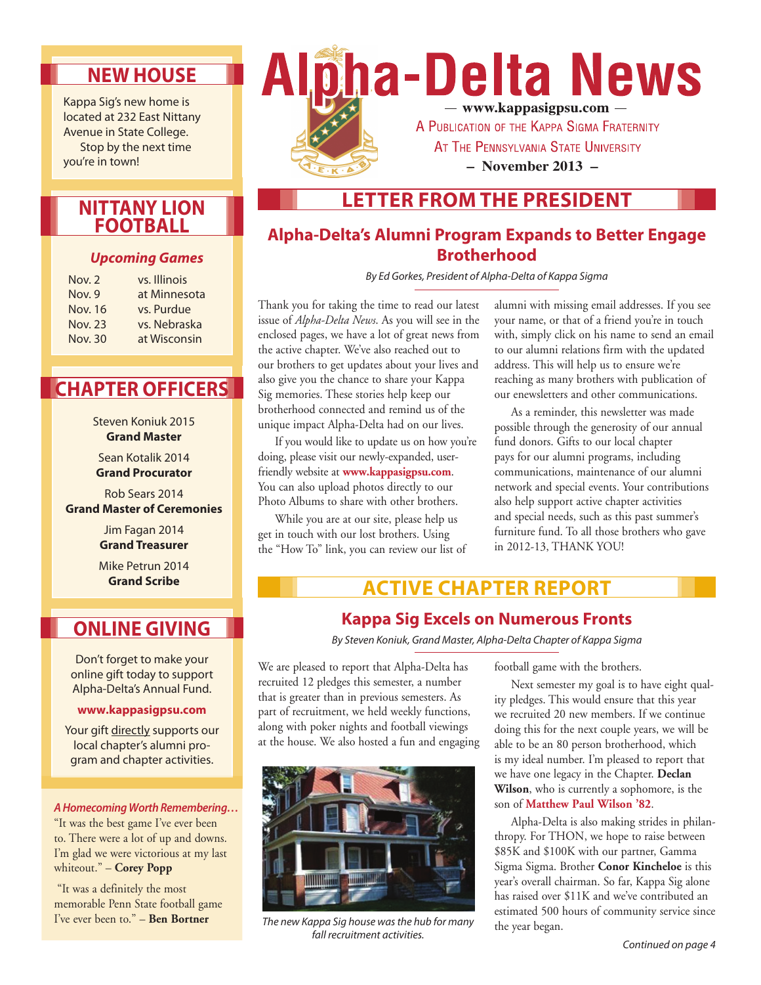# **New House**

Kappa Sig's new home is located at 232 East Nittany Avenue in State College. Stop by the next time you're in town!

## **Nittany Lion Football**

#### *Upcoming Games*

| Nov. $2$       | vs. Illinois |
|----------------|--------------|
| Nov. 9         | at Minnesota |
| <b>Nov. 16</b> | vs. Purdue   |
| <b>Nov. 23</b> | vs. Nebraska |
| Nov. 30        | at Wisconsin |

# **Chapter Officers**

Steven Koniuk 2015 **Grand Master**

Sean Kotalik 2014 **Grand Procurator**

Rob Sears 2014 **Grand Master of Ceremonies**

> Jim Fagan 2014 **Grand Treasurer**

> Mike Petrun 2014 **Grand Scribe**

# **Online Giving**

Don't forget to make your online gift today to support Alpha-Delta's Annual Fund.

#### **www.kappasigpsu.com**

Your gift directly supports our local chapter's alumni program and chapter activities.

#### *A Homecoming Worth Remembering…*

"It was the best game I've ever been to. There were a lot of up and downs. I'm glad we were victorious at my last whiteout." – **Corey Popp**

 "It was a definitely the most memorable Penn State football game I've ever been to." – **Ben Bortner**



# **Letter from the President**

## **Alpha-Delta's Alumni Program Expands to Better Engage Brotherhood**

*By Ed Gorkes, President of Alpha-Delta of Kappa Sigma* 

Thank you for taking the time to read our latest issue of *Alpha-Delta News*. As you will see in the enclosed pages, we have a lot of great news from the active chapter. We've also reached out to our brothers to get updates about your lives and also give you the chance to share your Kappa Sig memories. These stories help keep our brotherhood connected and remind us of the unique impact Alpha-Delta had on our lives.

If you would like to update us on how you're doing, please visit our newly-expanded, userfriendly website at **www.kappasigpsu.com**. You can also upload photos directly to our Photo Albums to share with other brothers.

While you are at our site, please help us get in touch with our lost brothers. Using the "How To" link, you can review our list of alumni with missing email addresses. If you see your name, or that of a friend you're in touch with, simply click on his name to send an email to our alumni relations firm with the updated address. This will help us to ensure we're reaching as many brothers with publication of our enewsletters and other communications.

As a reminder, this newsletter was made possible through the generosity of our annual fund donors. Gifts to our local chapter pays for our alumni programs, including communications, maintenance of our alumni network and special events. Your contributions also help support active chapter activities and special needs, such as this past summer's furniture fund. To all those brothers who gave in 2012-13, THANK YOU!

# **Active Chapter Report**

## **Kappa Sig Excels on Numerous Fronts**

*By Steven Koniuk, Grand Master, Alpha-Delta Chapter of Kappa Sigma*

We are pleased to report that Alpha-Delta has recruited 12 pledges this semester, a number that is greater than in previous semesters. As part of recruitment, we held weekly functions, along with poker nights and football viewings at the house. We also hosted a fun and engaging



*The new Kappa Sig house was the hub for many fall recruitment activities.*

football game with the brothers.

Next semester my goal is to have eight quality pledges. This would ensure that this year we recruited 20 new members. If we continue doing this for the next couple years, we will be able to be an 80 person brotherhood, which is my ideal number. I'm pleased to report that we have one legacy in the Chapter. **Declan Wilson**, who is currently a sophomore, is the son of **Matthew Paul Wilson '82**.

Alpha-Delta is also making strides in philanthropy. For THON, we hope to raise between \$85K and \$100K with our partner, Gamma Sigma Sigma. Brother **Conor Kincheloe** is this year's overall chairman. So far, Kappa Sig alone has raised over \$11K and we've contributed an estimated 500 hours of community service since the year began.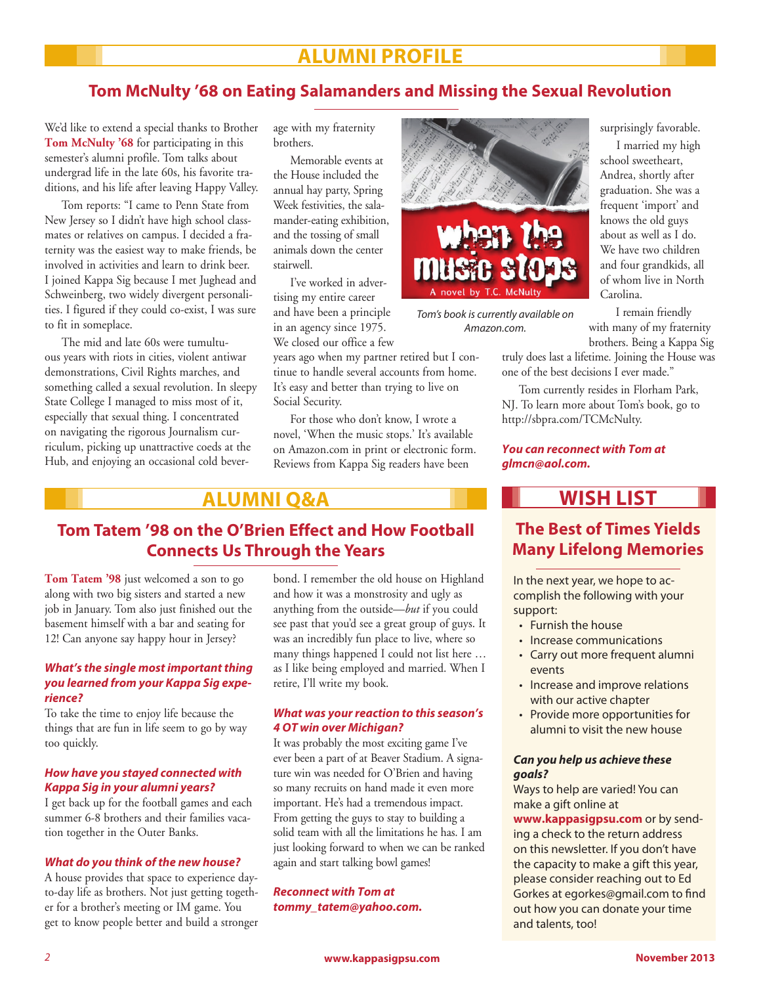# **Alumni Profile**

## **Tom McNulty '68 on Eating Salamanders and Missing the Sexual Revolution**

We'd like to extend a special thanks to Brother **Tom McNulty '68** for participating in this semester's alumni profile. Tom talks about undergrad life in the late 60s, his favorite traditions, and his life after leaving Happy Valley.

Tom reports: "I came to Penn State from New Jersey so I didn't have high school classmates or relatives on campus. I decided a fraternity was the easiest way to make friends, be involved in activities and learn to drink beer. I joined Kappa Sig because I met Jughead and Schweinberg, two widely divergent personalities. I figured if they could co-exist, I was sure to fit in someplace.

The mid and late 60s were tumultuous years with riots in cities, violent antiwar demonstrations, Civil Rights marches, and something called a sexual revolution. In sleepy State College I managed to miss most of it, especially that sexual thing. I concentrated on navigating the rigorous Journalism curriculum, picking up unattractive coeds at the Hub, and enjoying an occasional cold beverage with my fraternity brothers.

Memorable events at the House included the annual hay party, Spring Week festivities, the salamander-eating exhibition, and the tossing of small animals down the center stairwell.

I've worked in advertising my entire career and have been a principle in an agency since 1975. We closed our office a few

years ago when my partner retired but I continue to handle several accounts from home. It's easy and better than trying to live on Social Security.

For those who don't know, I wrote a novel, 'When the music stops.' It's available on Amazon.com in print or electronic form. Reviews from Kappa Sig readers have been

## **Alumni Q&A**

### **Tom Tatem '98 on the O'Brien Effect and How Football Connects Us Through the Years**

**Tom Tatem '98** just welcomed a son to go along with two big sisters and started a new job in January. Tom also just finished out the basement himself with a bar and seating for 12! Can anyone say happy hour in Jersey?

#### *What's the single most important thing you learned from your Kappa Sig experience?*

To take the time to enjoy life because the things that are fun in life seem to go by way too quickly.

#### *How have you stayed connected with Kappa Sig in your alumni years?*

I get back up for the football games and each summer 6-8 brothers and their families vacation together in the Outer Banks.

#### *What do you think of the new house?*

A house provides that space to experience dayto-day life as brothers. Not just getting together for a brother's meeting or IM game. You get to know people better and build a stronger

bond. I remember the old house on Highland and how it was a monstrosity and ugly as anything from the outside—*but* if you could see past that you'd see a great group of guys. It was an incredibly fun place to live, where so many things happened I could not list here … as I like being employed and married. When I retire, I'll write my book.

#### *What was your reaction to this season's 4 OT win over Michigan?*

It was probably the most exciting game I've ever been a part of at Beaver Stadium. A signature win was needed for O'Brien and having so many recruits on hand made it even more important. He's had a tremendous impact. From getting the guys to stay to building a solid team with all the limitations he has. I am just looking forward to when we can be ranked again and start talking bowl games!

*Reconnect with Tom at tommy\_tatem@yahoo.com.*



*Tom's book is currently available on Amazon.com.*

surprisingly favorable.

 I married my high school sweetheart, Andrea, shortly after graduation. She was a frequent 'import' and knows the old guys about as well as I do. We have two children and four grandkids, all of whom live in North Carolina.

 I remain friendly with many of my fraternity brothers. Being a Kappa Sig

truly does last a lifetime. Joining the House was one of the best decisions I ever made."

Tom currently resides in Florham Park, NJ. To learn more about Tom's book, go to http://sbpra.com/TCMcNulty.

*You can reconnect with Tom at glmcn@aol.com.*

# **Wish List**

## **The Best of Times Yields Many Lifelong Memories**

In the next year, we hope to accomplish the following with your support:

- • Furnish the house
- Increase communications
- Carry out more frequent alumni events
- Increase and improve relations with our active chapter
- Provide more opportunities for alumni to visit the new house

#### *Can you help us achieve these goals?*

Ways to help are varied! You can make a gift online at

**www.kappasigpsu.com** or by sending a check to the return address on this newsletter. If you don't have the capacity to make a gift this year, please consider reaching out to Ed Gorkes at egorkes@gmail.com to find out how you can donate your time and talents, too!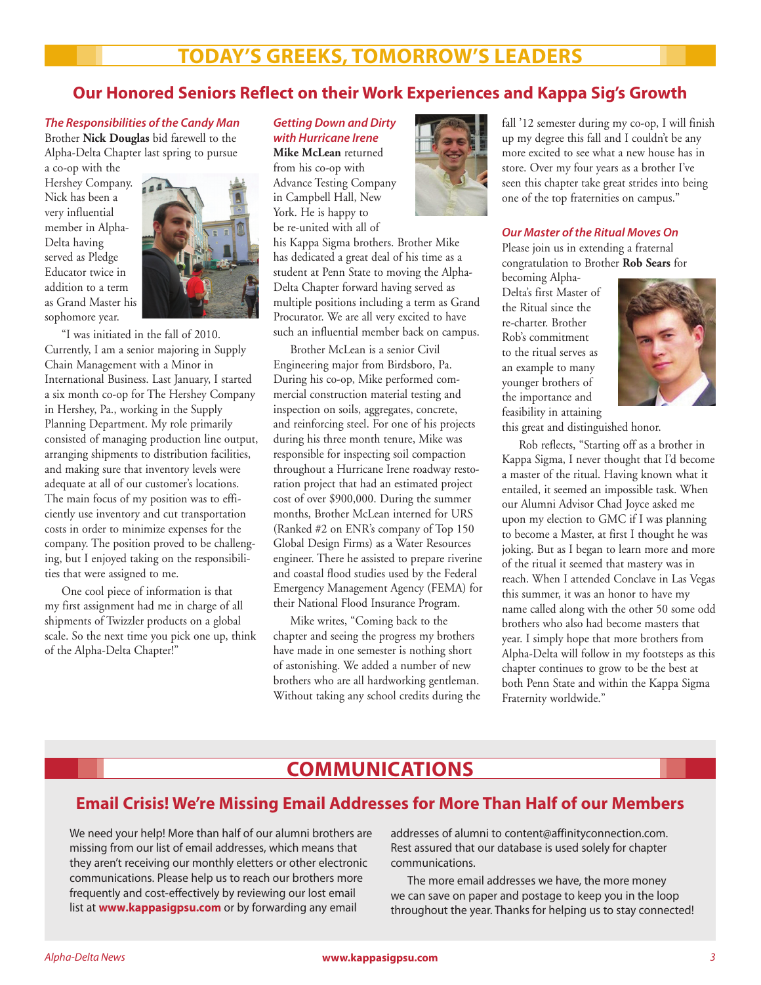# **Today's Greeks, Tomorrow's Leaders**

## **Our Honored Seniors Reflect on their Work Experiences and Kappa Sig's Growth**

*The Responsibilities of the Candy Man* Brother **Nick Douglas** bid farewell to the Alpha-Delta Chapter last spring to pursue

a co-op with the Hershey Company. Nick has been a very influential member in Alpha-Delta having served as Pledge Educator twice in addition to a term as Grand Master his sophomore year.



"I was initiated in the fall of 2010. Currently, I am a senior majoring in Supply Chain Management with a Minor in International Business. Last January, I started a six month co-op for The Hershey Company in Hershey, Pa., working in the Supply Planning Department. My role primarily consisted of managing production line output, arranging shipments to distribution facilities, and making sure that inventory levels were adequate at all of our customer's locations. The main focus of my position was to efficiently use inventory and cut transportation costs in order to minimize expenses for the company. The position proved to be challenging, but I enjoyed taking on the responsibilities that were assigned to me.

One cool piece of information is that my first assignment had me in charge of all shipments of Twizzler products on a global scale. So the next time you pick one up, think of the Alpha-Delta Chapter!"

#### *Getting Down and Dirty with Hurricane Irene*

**Mike McLean** returned from his co-op with Advance Testing Company in Campbell Hall, New York. He is happy to be re-united with all of

his Kappa Sigma brothers. Brother Mike has dedicated a great deal of his time as a student at Penn State to moving the Alpha-Delta Chapter forward having served as multiple positions including a term as Grand Procurator. We are all very excited to have such an influential member back on campus.

Brother McLean is a senior Civil Engineering major from Birdsboro, Pa. During his co-op, Mike performed commercial construction material testing and inspection on soils, aggregates, concrete, and reinforcing steel. For one of his projects during his three month tenure, Mike was responsible for inspecting soil compaction throughout a Hurricane Irene roadway restoration project that had an estimated project cost of over \$900,000. During the summer months, Brother McLean interned for URS (Ranked #2 on ENR's company of Top 150 Global Design Firms) as a Water Resources engineer. There he assisted to prepare riverine and coastal flood studies used by the Federal Emergency Management Agency (FEMA) for their National Flood Insurance Program.

Mike writes, "Coming back to the chapter and seeing the progress my brothers have made in one semester is nothing short of astonishing. We added a number of new brothers who are all hardworking gentleman. Without taking any school credits during the



fall '12 semester during my co-op, I will finish up my degree this fall and I couldn't be any more excited to see what a new house has in store. Over my four years as a brother I've seen this chapter take great strides into being one of the top fraternities on campus."

#### *Our Master of the Ritual Moves On*

Please join us in extending a fraternal congratulation to Brother **Rob Sears** for

becoming Alpha-Delta's first Master of the Ritual since the re-charter. Brother Rob's commitment to the ritual serves as an example to many younger brothers of the importance and feasibility in attaining



this great and distinguished honor.

Rob reflects, "Starting off as a brother in Kappa Sigma, I never thought that I'd become a master of the ritual. Having known what it entailed, it seemed an impossible task. When our Alumni Advisor Chad Joyce asked me upon my election to GMC if I was planning to become a Master, at first I thought he was joking. But as I began to learn more and more of the ritual it seemed that mastery was in reach. When I attended Conclave in Las Vegas this summer, it was an honor to have my name called along with the other 50 some odd brothers who also had become masters that year. I simply hope that more brothers from Alpha-Delta will follow in my footsteps as this chapter continues to grow to be the best at both Penn State and within the Kappa Sigma Fraternity worldwide."

# **Communications**

## **Email Crisis! We're Missing Email Addresses for More Than Half of our Members**

We need your help! More than half of our alumni brothers are missing from our list of email addresses, which means that they aren't receiving our monthly eletters or other electronic communications. Please help us to reach our brothers more frequently and cost-effectively by reviewing our lost email list at **www.kappasigpsu.com** or by forwarding any email

addresses of alumni to content@affinityconnection.com. Rest assured that our database is used solely for chapter communications.

The more email addresses we have, the more money we can save on paper and postage to keep you in the loop throughout the year. Thanks for helping us to stay connected!